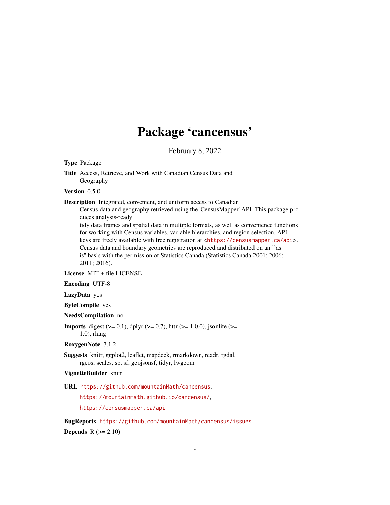# Package 'cancensus'

February 8, 2022

<span id="page-0-0"></span>Type Package

Version 0.5.0

Description Integrated, convenient, and uniform access to Canadian

Census data and geography retrieved using the 'CensusMapper' API. This package produces analysis-ready

tidy data frames and spatial data in multiple formats, as well as convenience functions for working with Census variables, variable hierarchies, and region selection. API keys are freely available with free registration at <<https://censusmapper.ca/api>>. Census data and boundary geometries are reproduced and distributed on an ``as is'' basis with the permission of Statistics Canada (Statistics Canada 2001; 2006; 2011; 2016).

License MIT + file LICENSE

Encoding UTF-8

LazyData yes

ByteCompile yes

NeedsCompilation no

**Imports** digest  $(>= 0.1)$ , dplyr  $(>= 0.7)$ , httr  $(>= 1.0.0)$ , jsonlite  $(>= 1.0.0)$ 1.0), rlang

RoxygenNote 7.1.2

Suggests knitr, ggplot2, leaflet, mapdeck, rmarkdown, readr, rgdal, rgeos, scales, sp, sf, geojsonsf, tidyr, lwgeom

VignetteBuilder knitr

URL <https://github.com/mountainMath/cancensus>,

<https://mountainmath.github.io/cancensus/>,

<https://censusmapper.ca/api>

BugReports <https://github.com/mountainMath/cancensus/issues> Depends  $R (= 2.10)$ 

Title Access, Retrieve, and Work with Canadian Census Data and Geography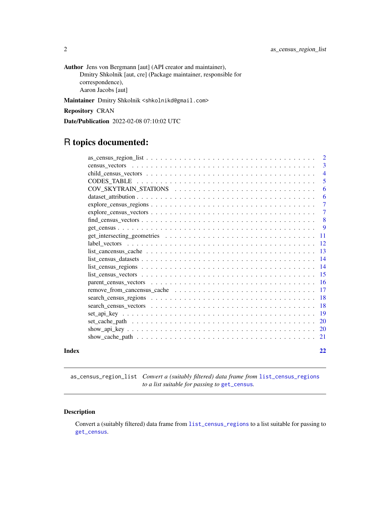<span id="page-1-0"></span>Author Jens von Bergmann [aut] (API creator and maintainer), Dmitry Shkolnik [aut, cre] (Package maintainer, responsible for correspondence), Aaron Jacobs [aut]

Maintainer Dmitry Shkolnik <shkolnikd@gmail.com>

Repository CRAN

Date/Publication 2022-02-08 07:10:02 UTC

# R topics documented:

|       |                                                                                                                    | $\overline{2}$  |
|-------|--------------------------------------------------------------------------------------------------------------------|-----------------|
|       |                                                                                                                    | 3               |
|       |                                                                                                                    | $\overline{4}$  |
|       |                                                                                                                    | 5               |
|       |                                                                                                                    | 6               |
|       |                                                                                                                    | 6               |
|       |                                                                                                                    | $\overline{7}$  |
|       |                                                                                                                    | $\overline{7}$  |
|       | $find\_census\_vectors \ldots \ldots \ldots \ldots \ldots \ldots \ldots \ldots \ldots \ldots \ldots \ldots \ldots$ | 8               |
|       |                                                                                                                    | 9               |
|       |                                                                                                                    | -11             |
|       |                                                                                                                    | <sup>12</sup>   |
|       |                                                                                                                    | -13             |
|       |                                                                                                                    | $\overline{14}$ |
|       |                                                                                                                    |                 |
|       |                                                                                                                    |                 |
|       |                                                                                                                    |                 |
|       |                                                                                                                    |                 |
|       |                                                                                                                    | -18             |
|       |                                                                                                                    |                 |
|       |                                                                                                                    | -19             |
|       |                                                                                                                    | <sup>20</sup>   |
|       |                                                                                                                    |                 |
|       |                                                                                                                    | 21              |
| Index |                                                                                                                    | 22              |
|       |                                                                                                                    |                 |

as\_census\_region\_list *Convert a (suitably filtered) data frame from* [list\\_census\\_regions](#page-13-1) *to a list suitable for passing to* [get\\_census](#page-8-1)*.*

#### Description

Convert a (suitably filtered) data frame from [list\\_census\\_regions](#page-13-1) to a list suitable for passing to [get\\_census](#page-8-1).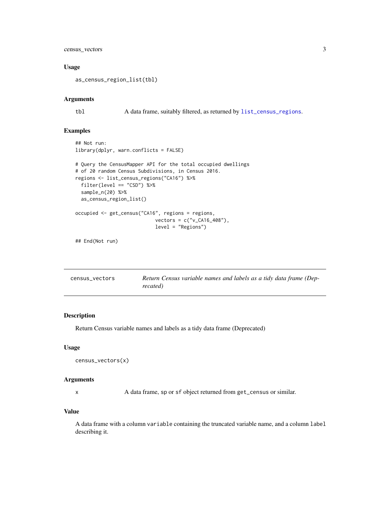#### <span id="page-2-0"></span>census\_vectors 3

#### Usage

```
as_census_region_list(tbl)
```
#### Arguments

tbl A data frame, suitably filtered, as returned by [list\\_census\\_regions](#page-13-1).

#### Examples

```
## Not run:
library(dplyr, warn.conflicts = FALSE)
# Query the CensusMapper API for the total occupied dwellings
# of 20 random Census Subdivisions, in Census 2016.
regions <- list_census_regions("CA16") %>%
  filter(level == "CSD") %>%
  sample_n(20) %>%
  as_census_region_list()
occupied <- get_census("CA16", regions = regions,
                            vectors = c("v_CA16_408"),
                            level = "Regions")
```
## End(Not run)

| census vectors | Return Census variable names and labels as a tidy data frame (Dep- |
|----------------|--------------------------------------------------------------------|
|                | recated)                                                           |

#### Description

Return Census variable names and labels as a tidy data frame (Deprecated)

#### Usage

```
census_vectors(x)
```
#### Arguments

x A data frame, sp or sf object returned from get\_census or similar.

#### Value

A data frame with a column variable containing the truncated variable name, and a column label describing it.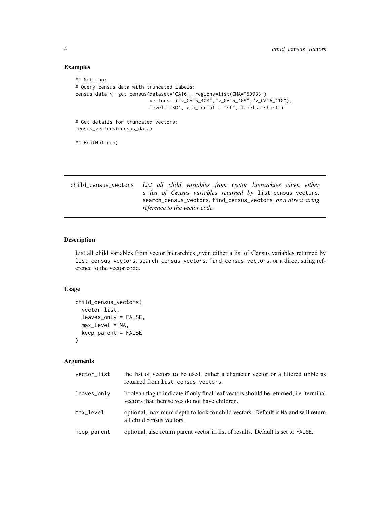#### Examples

```
## Not run:
# Query census data with truncated labels:
census_data <- get_census(dataset='CA16', regions=list(CMA="59933"),
                          vectors=c("v_CA16_408","v_CA16_409","v_CA16_410"),
                          level='CSD', geo_format = "sf", labels="short")
# Get details for truncated vectors:
census_vectors(census_data)
## End(Not run)
```

| child_census_vectors List all child variables from vector hierarchies given either |
|------------------------------------------------------------------------------------|
| a list of Census variables returned by list_census_vectors,                        |
| search_census_vectors, find_census_vectors, or a direct string                     |
| reference to the vector code.                                                      |

#### Description

List all child variables from vector hierarchies given either a list of Census variables returned by list\_census\_vectors, search\_census\_vectors, find\_census\_vectors, or a direct string reference to the vector code.

#### Usage

```
child_census_vectors(
  vector_list,
  leaves_only = FALSE,
  max\_level = NA,
  keep_parent = FALSE
\mathcal{L}
```
#### Arguments

| vector_list | the list of vectors to be used, either a character vector or a filtered tibble as<br>returned from list_census_vectors.                       |
|-------------|-----------------------------------------------------------------------------------------------------------------------------------------------|
| leaves_only | boolean flag to indicate if only final leaf vectors should be returned, <i>i.e.</i> terminal<br>vectors that themselves do not have children. |
| max level   | optional, maximum depth to look for child vectors. Default is NA and will return<br>all child census vectors.                                 |
| keep_parent | optional, also return parent vector in list of results. Default is set to FALSE.                                                              |

<span id="page-3-0"></span>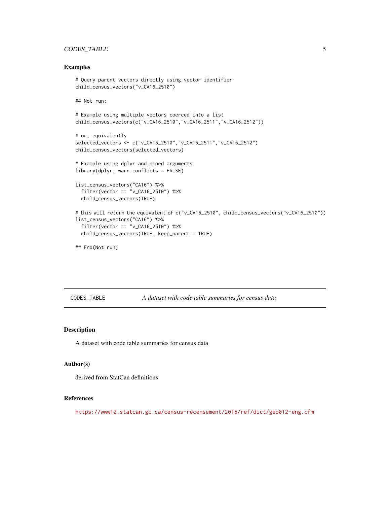#### <span id="page-4-0"></span>CODES\_TABLE 5

#### Examples

```
# Query parent vectors directly using vector identifier
child_census_vectors("v_CA16_2510")
## Not run:
# Example using multiple vectors coerced into a list
child_census_vectors(c("v_CA16_2510","v_CA16_2511","v_CA16_2512"))
# or, equivalently
selected_vectors <- c("v_CA16_2510","v_CA16_2511","v_CA16_2512")
child_census_vectors(selected_vectors)
# Example using dplyr and piped arguments
library(dplyr, warn.conflicts = FALSE)
list_census_vectors("CA16") %>%
  filter(vector == "v_CA16_2510") %>%
  child_census_vectors(TRUE)
# this will return the equivalent of c("v_CA16_2510", child_census_vectors("v_CA16_2510"))
list_census_vectors("CA16") %>%
  filter(vector == "v_CA16_2510") %>%
  child_census_vectors(TRUE, keep_parent = TRUE)
## End(Not run)
```
CODES\_TABLE *A dataset with code table summaries for census data*

#### Description

A dataset with code table summaries for census data

#### Author(s)

derived from StatCan definitions

#### References

<https://www12.statcan.gc.ca/census-recensement/2016/ref/dict/geo012-eng.cfm>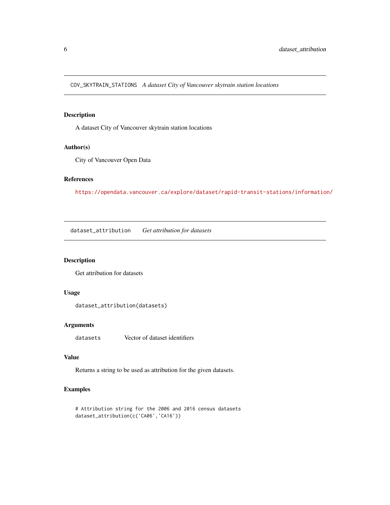<span id="page-5-0"></span>COV\_SKYTRAIN\_STATIONS *A dataset City of Vancouver skytrain station locations*

#### Description

A dataset City of Vancouver skytrain station locations

#### Author(s)

City of Vancouver Open Data

#### References

<https://opendata.vancouver.ca/explore/dataset/rapid-transit-stations/information/>

dataset\_attribution *Get attribution for datasets*

### Description

Get attribution for datasets

#### Usage

```
dataset_attribution(datasets)
```
#### Arguments

datasets Vector of dataset identifiers

#### Value

Returns a string to be used as attribution for the given datasets.

#### Examples

```
# Attribution string for the 2006 and 2016 census datasets
dataset_attribution(c('CA06','CA16'))
```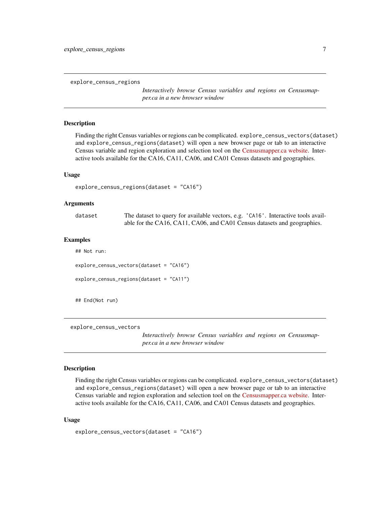<span id="page-6-0"></span>explore\_census\_regions

*Interactively browse Census variables and regions on Censusmapper.ca in a new browser window*

#### Description

Finding the right Census variables or regions can be complicated. explore\_census\_vectors(dataset) and explore\_census\_regions(dataset) will open a new browser page or tab to an interactive Census variable and region exploration and selection tool on the [Censusmapper.ca website.](https://censusmapper.ca/api) Interactive tools available for the CA16, CA11, CA06, and CA01 Census datasets and geographies.

#### Usage

```
explore_census_regions(dataset = "CA16")
```
#### Arguments

| dataset | The dataset to query for available vectors, e.g. 'CA16'. Interactive tools avail- |
|---------|-----------------------------------------------------------------------------------|
|         | able for the CA16, CA11, CA06, and CA01 Census datasets and geographies.          |

#### Examples

## Not run: explore\_census\_vectors(dataset = "CA16") explore\_census\_regions(dataset = "CA11")

## End(Not run)

explore\_census\_vectors

*Interactively browse Census variables and regions on Censusmapper.ca in a new browser window*

#### Description

Finding the right Census variables or regions can be complicated. explore\_census\_vectors(dataset) and explore\_census\_regions(dataset) will open a new browser page or tab to an interactive Census variable and region exploration and selection tool on the [Censusmapper.ca website.](https://censusmapper.ca/api) Interactive tools available for the CA16, CA11, CA06, and CA01 Census datasets and geographies.

#### Usage

```
explore_census_vectors(dataset = "CA16")
```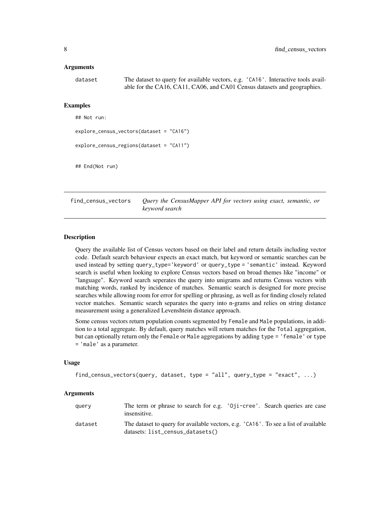#### <span id="page-7-0"></span>Arguments

dataset The dataset to query for available vectors, e.g. 'CA16'. Interactive tools available for the CA16, CA11, CA06, and CA01 Census datasets and geographies.

#### Examples

## Not run:

```
explore_census_vectors(dataset = "CA16")
```

```
explore_census_regions(dataset = "CA11")
```
## End(Not run)

find\_census\_vectors *Query the CensusMapper API for vectors using exact, semantic, or keyword search*

#### Description

Query the available list of Census vectors based on their label and return details including vector code. Default search behaviour expects an exact match, but keyword or semantic searches can be used instead by setting query\_type='keyword' or query\_type = 'semantic' instead. Keyword search is useful when looking to explore Census vectors based on broad themes like "income" or "language". Keyword search seperates the query into unigrams and returns Census vectors with matching words, ranked by incidence of matches. Semantic search is designed for more precise searches while allowing room for error for spelling or phrasing, as well as for finding closely related vector matches. Semantic search separates the query into n-grams and relies on string distance measurement using a generalized Levenshtein distance approach.

Some census vectors return population counts segmented by Female and Male populations, in addition to a total aggregate. By default, query matches will return matches for the Total aggregation, but can optionally return only the Female or Male aggregations by adding type = 'female' or type = 'male' as a parameter.

#### Usage

```
find_census_vectors(query, dataset, type = "all", query_type = "exact", ...)
```
#### Arguments

| query   | The term or phrase to search for e.g. '0ji-cree'. Search queries are case<br>insensitive.                               |
|---------|-------------------------------------------------------------------------------------------------------------------------|
| dataset | The dataset to query for available vectors, e.g. 'CA16'. To see a list of available<br>datasets: list_census_datasets() |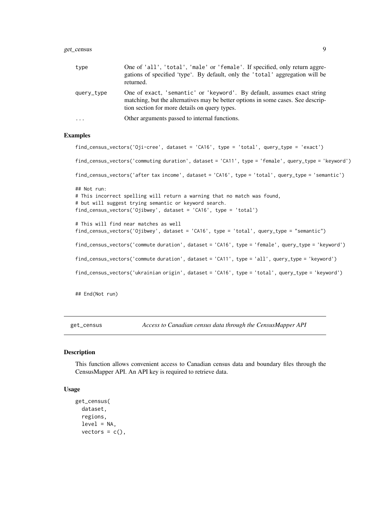#### <span id="page-8-0"></span>get\_census 9

| type       | One of 'all', 'total', 'male' or 'female'. If specified, only return aggre-<br>gations of specified 'type'. By default, only the 'total' aggregation will be<br>returned.                                    |
|------------|--------------------------------------------------------------------------------------------------------------------------------------------------------------------------------------------------------------|
| query_type | One of exact, 'semantic' or 'keyword'. By default, assumes exact string<br>matching, but the alternatives may be better options in some cases. See descrip-<br>tion section for more details on query types. |
| $\cdot$    | Other arguments passed to internal functions.                                                                                                                                                                |

#### Examples

```
find_census_vectors('Oji-cree', dataset = 'CA16', type = 'total', query_type = 'exact')
find_census_vectors('commuting duration', dataset = 'CA11', type = 'female', query_type = 'keyword')
find_census_vectors('after tax income', dataset = 'CA16', type = 'total', query_type = 'semantic')
## Not run:
# This incorrect spelling will return a warning that no match was found,
# but will suggest trying semantic or keyword search.
find_census_vectors('Ojibwey', dataset = 'CA16', type = 'total')
# This will find near matches as well
find_census_vectors('Ojibwey', dataset = 'CA16', type = 'total', query_type = "semantic")
find_census_vectors('commute duration', dataset = 'CA16', type = 'female', query_type = 'keyword')
find_census_vectors('commute duration', dataset = 'CA11', type = 'all', query_type = 'keyword')
find_census_vectors('ukrainian origin', dataset = 'CA16', type = 'total', query_type = 'keyword')
## End(Not run)
```
<span id="page-8-1"></span>get\_census *Access to Canadian census data through the CensusMapper API*

#### Description

This function allows convenient access to Canadian census data and boundary files through the CensusMapper API. An API key is required to retrieve data.

#### Usage

```
get_census(
  dataset,
  regions,
  level = NA,vectors = c(),
```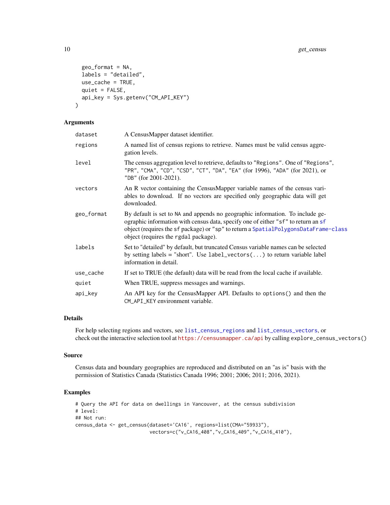```
geo_format = NA,
  labels = "detailed",
  use_cache = TRUE,
  quiet = FALSE,
  api_key = Sys.getenv("CM_API_KEY")
\mathcal{L}
```
#### Arguments

| dataset    | A CensusMapper dataset identifier.                                                                                                                                                                                                                                                                |
|------------|---------------------------------------------------------------------------------------------------------------------------------------------------------------------------------------------------------------------------------------------------------------------------------------------------|
| regions    | A named list of census regions to retrieve. Names must be valid census aggre-<br>gation levels.                                                                                                                                                                                                   |
| level      | The census aggregation level to retrieve, defaults to "Regions". One of "Regions",<br>"PR", "CMA", "CD", "CSD", "CT", "DA", "EA" (for 1996), "ADA" (for 2021), or<br>"DB" (for 2001-2021).                                                                                                        |
| vectors    | An R vector containing the CensusMapper variable names of the census vari-<br>ables to download. If no vectors are specified only geographic data will get<br>downloaded.                                                                                                                         |
| geo_format | By default is set to NA and appends no geographic information. To include ge-<br>ographic information with census data, specify one of either "sf" to return an sf<br>object (requires the sf package) or "sp" to return a SpatialPolygonsDataFrame-class<br>object (requires the rgdal package). |
| labels     | Set to "detailed" by default, but truncated Census variable names can be selected<br>by setting labels = "short". Use label_vectors() to return variable label<br>information in detail.                                                                                                          |
| use_cache  | If set to TRUE (the default) data will be read from the local cache if available.                                                                                                                                                                                                                 |
| quiet      | When TRUE, suppress messages and warnings.                                                                                                                                                                                                                                                        |
| api_key    | An API key for the CensusMapper API. Defaults to options () and then the<br>CM_API_KEY environment variable.                                                                                                                                                                                      |

#### Details

For help selecting regions and vectors, see [list\\_census\\_regions](#page-13-1) and [list\\_census\\_vectors](#page-14-1), or check out the interactive selection tool at <https://censusmapper.ca/api> by calling explore\_census\_vectors()

#### Source

Census data and boundary geographies are reproduced and distributed on an "as is" basis with the permission of Statistics Canada (Statistics Canada 1996; 2001; 2006; 2011; 2016, 2021).

#### Examples

```
# Query the API for data on dwellings in Vancouver, at the census subdivision
# level:
## Not run:
census_data <- get_census(dataset='CA16', regions=list(CMA="59933"),
                          vectors=c("v_CA16_408","v_CA16_409","v_CA16_410"),
```
<span id="page-9-0"></span>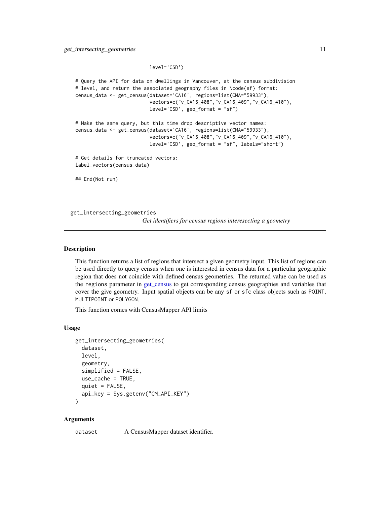```
level='CSD')
```

```
# Query the API for data on dwellings in Vancouver, at the census subdivision
# level, and return the associated geography files in \code{sf} format:
census_data <- get_census(dataset='CA16', regions=list(CMA="59933"),
                          vectors=c("v_CA16_408","v_CA16_409","v_CA16_410"),
                          level='CSD', geo_format = "sf")
# Make the same query, but this time drop descriptive vector names:
census_data <- get_census(dataset='CA16', regions=list(CMA="59933"),
                          vectors=c("v_CA16_408","v_CA16_409","v_CA16_410"),
                          level='CSD', geo_format = "sf", labels="short")
# Get details for truncated vectors:
label_vectors(census_data)
## End(Not run)
```
get\_intersecting\_geometries *Get identifiers for census regions interesecting a geometry*

#### Description

This function returns a list of regions that intersect a given geometry input. This list of regions can be used directly to query census when one is interested in census data for a particular geographic region that does not coincide with defined census geometries. The returned value can be used as the regions parameter in [get\\_census](#page-8-1) to get corresponding census geographies and variables that cover the give geometry. Input spatial objects can be any sf or sfc class objects such as POINT, MULTIPOINT or POLYGON.

This function comes with CensusMapper API limits

#### Usage

```
get_intersecting_geometries(
  dataset,
  level,
  geometry,
  simplified = FALSE,
  use_cache = TRUE,
  quiet = FALSE,api_key = Sys.getenv("CM_API_KEY")
)
```
#### Arguments

dataset A CensusMapper dataset identifier.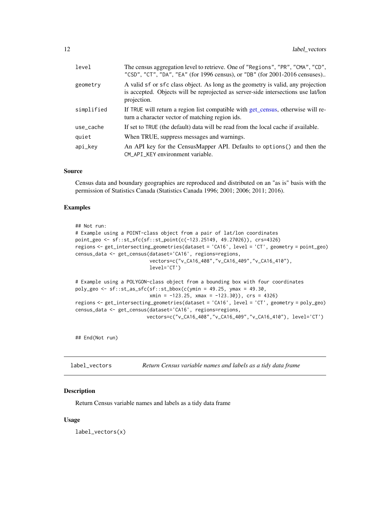<span id="page-11-0"></span>

| level      | The census aggregation level to retrieve. One of "Regions", "PR", "CMA", "CD",<br>"CSD", "CT", "DA", "EA" (for 1996 census), or "DB" (for 2001-2016 censuses)                        |
|------------|--------------------------------------------------------------------------------------------------------------------------------------------------------------------------------------|
| geometry   | A valid sf or sfc class object. As long as the geometry is valid, any projection<br>is accepted. Objects will be reprojected as server-side intersections use lat/lon<br>projection. |
| simplified | If TRUE will return a region list compatible with get_census, otherwise will re-<br>turn a character vector of matching region ids.                                                  |
| use_cache  | If set to TRUE (the default) data will be read from the local cache if available.                                                                                                    |
| quiet      | When TRUE, suppress messages and warnings.                                                                                                                                           |
| api_key    | An API key for the CensusMapper API. Defaults to options () and then the<br>CM_API_KEY environment variable.                                                                         |

#### Source

Census data and boundary geographies are reproduced and distributed on an "as is" basis with the permission of Statistics Canada (Statistics Canada 1996; 2001; 2006; 2011; 2016).

#### Examples

```
## Not run:
# Example using a POINT-class object from a pair of lat/lon coordinates
point_geo <- sf::st_sfc(sf::st_point(c(-123.25149, 49.27026)), crs=4326)
regions <- get_intersecting_geometries(dataset = 'CA16', level = 'CT', geometry = point_geo)
census_data <- get_census(dataset='CA16', regions=regions,
                          vectors=c("v_CA16_408","v_CA16_409","v_CA16_410"),
                          level='CT')
# Example using a POLYGON-class object from a bounding box with four coordinates
poly_geo <- sf::st_as_sfc(sf::st_bbox(c(ymin = 49.25, ymax = 49.30,
                          xmin = -123.25, xmax = -123.30), crs = 4326regions <- get_intersecting_geometries(dataset = 'CA16', level = 'CT', geometry = poly_geo)
census_data <- get_census(dataset='CA16', regions=regions,
                         vectors=c("v_CA16_408","v_CA16_409","v_CA16_410"), level='CT')
```
## End(Not run)

label\_vectors *Return Census variable names and labels as a tidy data frame*

#### Description

Return Census variable names and labels as a tidy data frame

#### Usage

label\_vectors(x)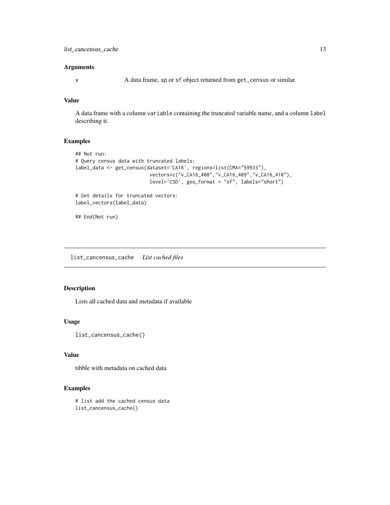#### <span id="page-12-0"></span>Arguments

x A data frame, sp or sf object returned from get\_census or similar.

#### Value

A data frame with a column variable containing the truncated variable name, and a column label describing it.

#### Examples

```
## Not run:
# Query census data with truncated labels:
label_data <- get_census(dataset='CA16', regions=list(CMA="59933"),
                          vectors=c("v_CA16_408","v_CA16_409","v_CA16_410"),
                          level='CSD', geo_format = "sf", labels="short")
# Get details for truncated vectors:
```

```
label_vectors(label_data)
```

```
## End(Not run)
```
list\_cancensus\_cache *List cached files*

#### Description

Lists all cached data and metadata if available

#### Usage

```
list_cancensus_cache()
```
#### Value

tibble with metadata on cached data

#### Examples

# list add the cached census data list\_cancensus\_cache()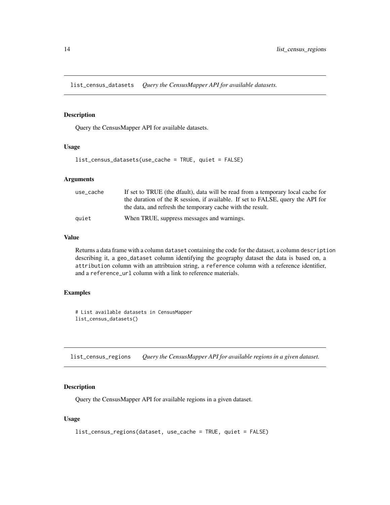<span id="page-13-0"></span>list\_census\_datasets *Query the CensusMapper API for available datasets.*

#### Description

Query the CensusMapper API for available datasets.

#### Usage

list\_census\_datasets(use\_cache = TRUE, quiet = FALSE)

#### Arguments

| use_cache | If set to TRUE (the dfault), data will be read from a temporary local cache for |
|-----------|---------------------------------------------------------------------------------|
|           | the duration of the R session, if available. If set to FALSE, query the API for |
|           | the data, and refresh the temporary cache with the result.                      |
| auiet     | When TRUE, suppress messages and warnings.                                      |

#### Value

Returns a data frame with a column dataset containing the code for the dataset, a column description describing it, a geo\_dataset column identifying the geography dataset the data is based on, a attribution column with an attribtuion string, a reference column with a reference identifier, and a reference\_url column with a link to reference materials.

#### Examples

# List available datasets in CensusMapper list\_census\_datasets()

<span id="page-13-1"></span>list\_census\_regions *Query the CensusMapper API for available regions in a given dataset.*

#### Description

Query the CensusMapper API for available regions in a given dataset.

#### Usage

```
list_census_regions(dataset, use_cache = TRUE, quiet = FALSE)
```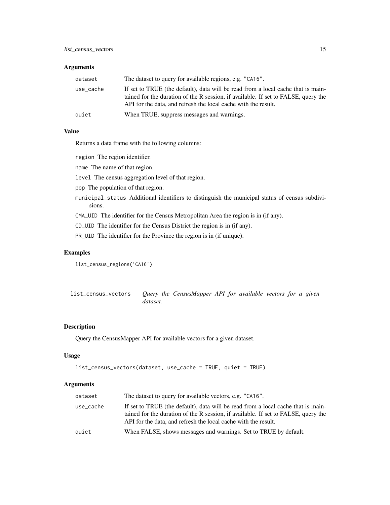#### <span id="page-14-0"></span>Arguments

| dataset   | The dataset to query for available regions, e.g. "CA16".                                                                                                                                                                                 |
|-----------|------------------------------------------------------------------------------------------------------------------------------------------------------------------------------------------------------------------------------------------|
| use_cache | If set to TRUE (the default), data will be read from a local cache that is main-<br>tained for the duration of the R session, if available. If set to FALSE, query the<br>API for the data, and refresh the local cache with the result. |
| quiet     | When TRUE, suppress messages and warnings.                                                                                                                                                                                               |

#### Value

Returns a data frame with the following columns:

region The region identifier.

name The name of that region.

level The census aggregation level of that region.

pop The population of that region.

municipal\_status Additional identifiers to distinguish the municipal status of census subdivisions.

CMA\_UID The identifier for the Census Metropolitan Area the region is in (if any).

CD\_UID The identifier for the Census District the region is in (if any).

PR\_UID The identifier for the Province the region is in (if unique).

#### Examples

list\_census\_regions('CA16')

<span id="page-14-1"></span>list\_census\_vectors *Query the CensusMapper API for available vectors for a given dataset.*

#### Description

Query the CensusMapper API for available vectors for a given dataset.

#### Usage

```
list_census_vectors(dataset, use_cache = TRUE, quiet = TRUE)
```
#### Arguments

| dataset   | The dataset to query for available vectors, e.g. "CA16".                                                                                                                                                                                 |
|-----------|------------------------------------------------------------------------------------------------------------------------------------------------------------------------------------------------------------------------------------------|
| use_cache | If set to TRUE (the default), data will be read from a local cache that is main-<br>tained for the duration of the R session, if available. If set to FALSE, query the<br>API for the data, and refresh the local cache with the result. |
| quiet     | When FALSE, shows messages and warnings. Set to TRUE by default.                                                                                                                                                                         |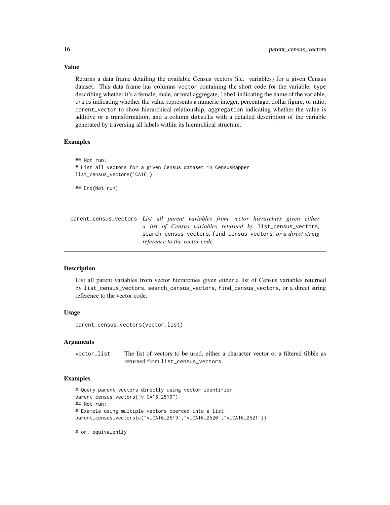Returns a data frame detailing the available Census vectors (i.e. variables) for a given Census dataset. This data frame has columns vector containing the short code for the variable, type describing whether it's a female, male, or total aggregate, label indicating the name of the variable, units indicating whether the value represents a numeric integer, percentage, dollar figure, or ratio, parent\_vector to show hierarchical relationship, aggregation indicating whether the value is additive or a transformation, and a column details with a detailed description of the variable generated by traversing all labels within its hierarchical structure.

#### Examples

```
## Not run:
# List all vectors for a given Census dataset in CensusMapper
list_census_vectors('CA16')
## End(Not run)
```
parent\_census\_vectors *List all parent variables from vector hierarchies given either a list of Census variables returned by* list\_census\_vectors*,* search\_census\_vectors*,* find\_census\_vectors*, or a direct string reference to the vector code.*

#### Description

List all parent variables from vector hierarchies given either a list of Census variables returned by list\_census\_vectors, search\_census\_vectors, find\_census\_vectors, or a direct string reference to the vector code.

#### Usage

```
parent_census_vectors(vector_list)
```
#### Arguments

vector\_list The list of vectors to be used, either a character vector or a filtered tibble as returned from list\_census\_vectors.

#### Examples

```
# Query parent vectors directly using vector identifier
parent_census_vectors("v_CA16_2519")
## Not run:
# Example using multiple vectors coerced into a list
parent_census_vectors(c("v_CA16_2519","v_CA16_2520","v_CA16_2521"))
```
# or, equivalently

<span id="page-15-0"></span>

## Value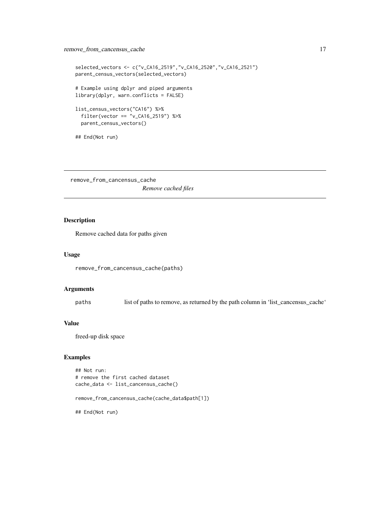#### <span id="page-16-0"></span>remove\_from\_cancensus\_cache 17

```
selected_vectors <- c("v_CA16_2519","v_CA16_2520","v_CA16_2521")
parent_census_vectors(selected_vectors)
# Example using dplyr and piped arguments
library(dplyr, warn.conflicts = FALSE)
list_census_vectors("CA16") %>%
  filter(vector == "v_CA16_2519") %>%
  parent_census_vectors()
## End(Not run)
```
remove\_from\_cancensus\_cache *Remove cached files*

#### Description

Remove cached data for paths given

#### Usage

```
remove_from_cancensus_cache(paths)
```
#### Arguments

paths list of paths to remove, as returned by the path column in 'list\_cancensus\_cache'

#### Value

freed-up disk space

#### Examples

```
## Not run:
# remove the first cached dataset
cache_data <- list_cancensus_cache()
```
remove\_from\_cancensus\_cache(cache\_data\$path[1])

## End(Not run)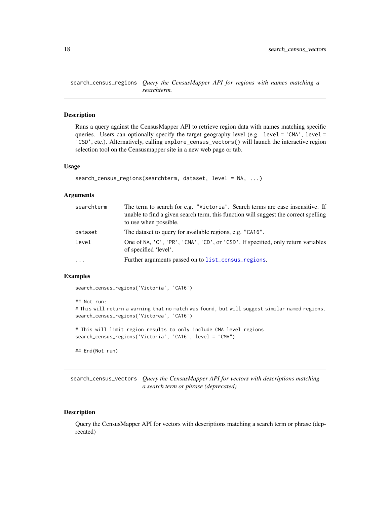<span id="page-17-0"></span>search\_census\_regions *Query the CensusMapper API for regions with names matching a searchterm.*

#### Description

Runs a query against the CensusMapper API to retrieve region data with names matching specific queries. Users can optionally specify the target geography level (e.g. level =  $'CMA'$ , level = 'CSD', etc.). Alternatively, calling explore\_census\_vectors() will launch the interactive region selection tool on the Censusmapper site in a new web page or tab.

#### Usage

```
search_census_regions(searchterm, dataset, level = NA, ...)
```
#### **Arguments**

| searchterm | The term to search for e.g. "Victoria". Search terms are case insensitive. If<br>unable to find a given search term, this function will suggest the correct spelling<br>to use when possible. |
|------------|-----------------------------------------------------------------------------------------------------------------------------------------------------------------------------------------------|
| dataset    | The dataset to query for available regions, e.g. "CA16".                                                                                                                                      |
| level      | One of NA, 'C', 'PR', 'CMA', 'CD', or 'CSD'. If specified, only return variables<br>of specified 'level'.                                                                                     |
| $\cdots$   | Further arguments passed on to list_census_regions.                                                                                                                                           |

#### Examples

search\_census\_regions('Victoria', 'CA16')

```
## Not run:
# This will return a warning that no match was found, but will suggest similar named regions.
search_census_regions('Victorea', 'CA16')
# This will limit region results to only include CMA level regions
search_census_regions('Victoria', 'CA16', level = "CMA")
## End(Not run)
```
search\_census\_vectors *Query the CensusMapper API for vectors with descriptions matching a search term or phrase (deprecated)*

#### Description

Query the CensusMapper API for vectors with descriptions matching a search term or phrase (deprecated)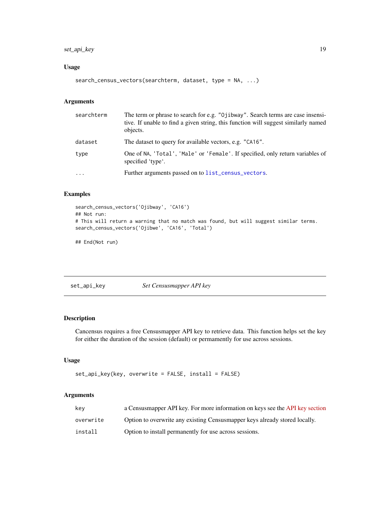#### <span id="page-18-0"></span>set\_api\_key 19

#### Usage

```
search_census_vectors(searchterm, dataset, type = NA, ...)
```
## Arguments

| searchterm | The term or phrase to search for e.g. "Ojibway". Search terms are case insensi-<br>tive. If unable to find a given string, this function will suggest similarly named<br>objects. |
|------------|-----------------------------------------------------------------------------------------------------------------------------------------------------------------------------------|
| dataset    | The dataset to query for available vectors, e.g. "CA16".                                                                                                                          |
| type       | One of NA, 'Total', 'Male' or 'Female'. If specified, only return variables of<br>specified 'type'.                                                                               |
| $\ddotsc$  | Further arguments passed on to list_census_vectors.                                                                                                                               |

#### Examples

```
search_census_vectors('Ojibway', 'CA16')
## Not run:
# This will return a warning that no match was found, but will suggest similar terms.
search_census_vectors('Ojibwe', 'CA16', 'Total')
```
## End(Not run)

set\_api\_key *Set Censusmapper API key*

#### Description

Cancensus requires a free Censusmapper API key to retrieve data. This function helps set the key for either the duration of the session (default) or permamently for use across sessions.

#### Usage

```
set_api_key(key, overwrite = FALSE, install = FALSE)
```
#### Arguments

| kev       | a Censusmapper API key. For more information on keys see the API key section |
|-----------|------------------------------------------------------------------------------|
| overwrite | Option to overwrite any existing Census mapper keys already stored locally.  |
| install   | Option to install permanently for use across sessions.                       |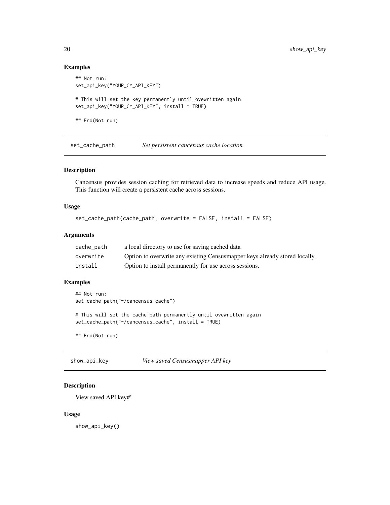#### Examples

```
## Not run:
set_api_key("YOUR_CM_API_KEY")
# This will set the key permanently until ovewritten again
set_api_key("YOUR_CM_API_KEY", install = TRUE)
## End(Not run)
```
set\_cache\_path *Set persistent cancensus cache location*

#### Description

Cancensus provides session caching for retrieved data to increase speeds and reduce API usage. This function will create a persistent cache across sessions.

#### Usage

```
set_cache_path(cache_path, overwrite = FALSE, install = FALSE)
```
#### Arguments

| cache_path | a local directory to use for saving cached data                             |
|------------|-----------------------------------------------------------------------------|
| overwrite  | Option to overwrite any existing Census mapper keys already stored locally. |
| install    | Option to install permanently for use across sessions.                      |

#### Examples

```
## Not run:
set_cache_path("~/cancensus_cache")
```
# This will set the cache path permanently until ovewritten again set\_cache\_path("~/cancensus\_cache", install = TRUE)

## End(Not run)

show\_api\_key *View saved Censusmapper API key*

#### Description

View saved API key#'

#### Usage

show\_api\_key()

<span id="page-19-0"></span>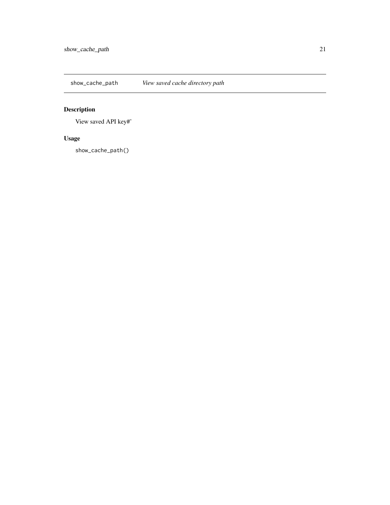<span id="page-20-0"></span>show\_cache\_path *View saved cache directory path*

# Description

View saved API key#'

# Usage

show\_cache\_path()